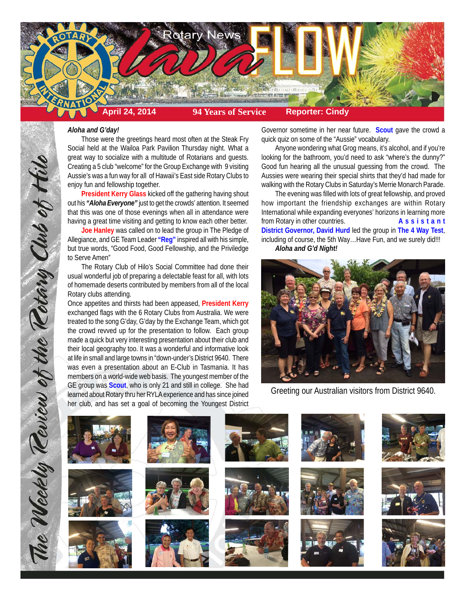

## *Aloha and G'day!*

Those were the greetings heard most often at the Steak Fry Social held at the Wailoa Park Pavilion Thursday night. What a great way to socialize with a multitude of Rotarians and guests. Creating a 5 club "welcome" for the Group Exchange with 9 visiting Aussie's was a fun way for all of Hawaii's East side Rotary Clubs to enjoy fun and fellowship together.

**President Kerry Glass** kicked off the gathering having shout out his *"Aloha Everyone"* just to get the crowds' attention. It seemed that this was one of those evenings when all in attendance were having a great time visiting and getting to know each other better.

**Joe Hanley** was called on to lead the group in The Pledge of Allegiance, and GE Team Leader **"Reg"** inspired all with his simple, but true words, "Good Food, Good Fellowship, and the Priviledge to Serve Amen"

The Rotary Club of Hilo's Social Committee had done their usual wonderful job of preparing a delectable feast for all, with lots of homemade deserts contributed by members from all of the local Rotary clubs attending.

Once appetites and thirsts had been appeased, **President Kerry** exchanged flags with the 6 Rotary Clubs from Australia. We were treated to the song G'day, G'day by the Exchange Team, which got the crowd revved up for the presentation to follow. Each group made a quick but very interesting presentation about their club and their local geography too. It was a wonderful and informative look at life in small and large towns in "down-under's District 9640. There was even a presentation about an E-Club in Tasmania. It has members on a world-wide web basis. The youngest member of the GE group was **Scout**, who is only 21 and still in college. She had learned about Rotary thru her RYLA experience and has since joined her club, and has set a goal of becoming the Youngest District

Governor sometime in her near future. **Scout** gave the crowd a quick quiz on some of the "Aussie" vocabulary.

Anyone wondering what Grog means, it's alcohol, and if you're looking for the bathroom, you'd need to ask "where's the dunny?" Good fun hearing all the unusual guessing from the crowd. The Aussies were wearing their special shirts that they'd had made for walking with the Rotary Clubs in Saturday's Merrie Monarch Parade.

The evening was filled with lots of great fellowship, and proved how important the friendship exchanges are within Rotary International while expanding everyones' horizons in learning more from Rotary in other countries. **Assistant District Governor, David Hurd** led the group in **The 4 Way Test**, including of course, the 5th Way…Have Fun, and we surely did!!! *Aloha and G'd Night!*



Greeting our Australian visitors from District 9640.